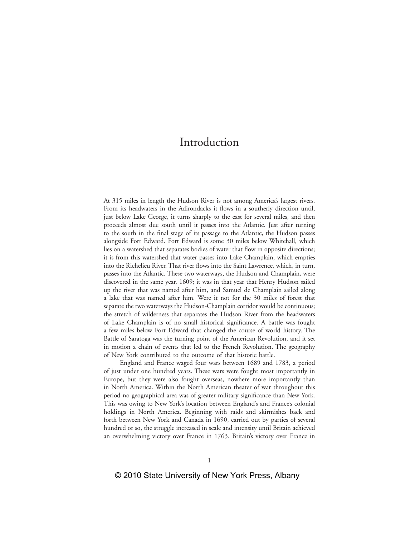# Introduction

At 315 miles in length the Hudson River is not among America's largest rivers. From its headwaters in the Adirondacks it flows in a southerly direction until, just below Lake George, it turns sharply to the east for several miles, and then proceeds almost due south until it passes into the Atlantic. Just after turning to the south in the final stage of its passage to the Atlantic, the Hudson passes alongside Fort Edward. Fort Edward is some 30 miles below Whitehall, which lies on a watershed that separates bodies of water that flow in opposite directions; it is from this watershed that water passes into Lake Champlain, which empties into the Richelieu River. That river flows into the Saint Lawrence, which, in turn, passes into the Atlantic. These two waterways, the Hudson and Champlain, were discovered in the same year, 1609; it was in that year that Henry Hudson sailed up the river that was named after him, and Samuel de Champlain sailed along a lake that was named after him. Were it not for the 30 miles of forest that separate the two waterways the Hudson-Champlain corridor would be continuous; the stretch of wilderness that separates the Hudson River from the headwaters of Lake Champlain is of no small historical significance. A battle was fought a few miles below Fort Edward that changed the course of world history. The Battle of Saratoga was the turning point of the American Revolution, and it set in motion a chain of events that led to the French Revolution. The geography of New York contributed to the outcome of that historic battle.

England and France waged four wars between 1689 and 1783, a period of just under one hundred years. These wars were fought most importantly in Europe, but they were also fought overseas, nowhere more importantly than in North America. Within the North American theater of war throughout this period no geographical area was of greater military significance than New York. This was owing to New York's location between England's and France's colonial holdings in North America. Beginning with raids and skirmishes back and forth between New York and Canada in 1690, carried out by parties of several hundred or so, the struggle increased in scale and intensity until Britain achieved an overwhelming victory over France in 1763. Britain's victory over France in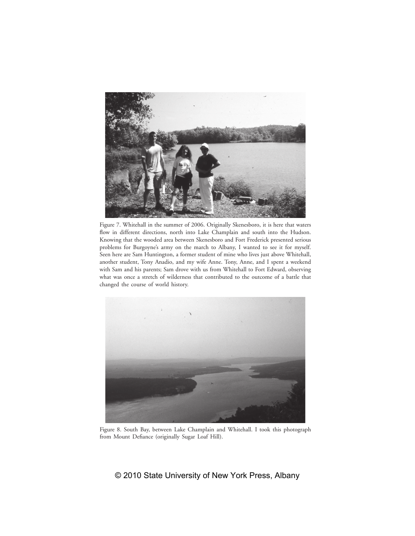

Figure 7. Whitehall in the summer of 2006. Originally Skenesboro, it is here that waters flow in different directions, north into Lake Champlain and south into the Hudson. Knowing that the wooded area between Skenesboro and Fort Frederick presented serious problems for Burgoyne's army on the march to Albany, I wanted to see it for myself. Seen here are Sam Huntington, a former student of mine who lives just above Whitehall, another student, Tony Anadio, and my wife Anne. Tony, Anne, and I spent a weekend with Sam and his parents; Sam drove with us from Whitehall to Fort Edward, observing what was once a stretch of wilderness that contributed to the outcome of a battle that changed the course of world history.



Figure 8. South Bay, between Lake Champlain and Whitehall. I took this photograph from Mount Defiance (originally Sugar Loaf Hill).

# © 2010 State University of New York Press, Albany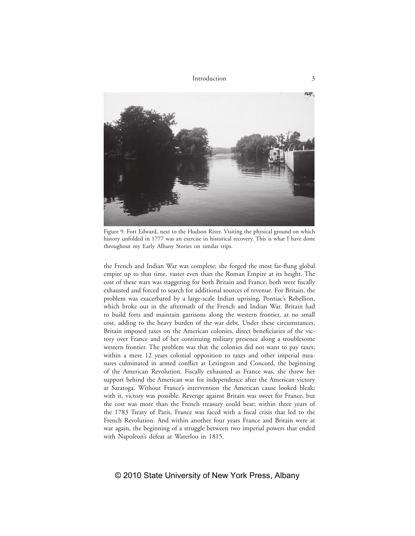

Figure 9. Fort Edward, next to the Hudson River. Visiting the physical ground on which history unfolded in 1777 was an exercise in historical recovery. This is what I have done throughout my Early Albany Stories on similar trips.

the French and Indian War was complete; she forged the most far-flung global empire up to that time, vaster even than the Roman Empire at its height. The cost of these wars was staggering for both Britain and France; both were fiscally exhausted and forced to search for additional sources of revenue. For Britain, the problem was exacerbated by a large-scale Indian uprising, Pontiac's Rebellion, which broke out in the aftermath of the French and Indian War. Britain had to build forts and maintain garrisons along the western frontier, at no small cost, adding to the heavy burden of the war debt. Under these circumstances, Britain imposed taxes on the American colonies, direct beneficiaries of the victory over France and of her continuing military presence along a troublesome western frontier. The problem was that the colonies did not want to pay taxes; within a mere 12 years colonial opposition to taxes and other imperial measures culminated in armed conflict at Lexington and Concord, the beginning of the American Revolution. Fiscally exhausted as France was, she threw her support behind the American war for independence after the American victory at Saratoga. Without France's intervention the American cause looked bleak; with it, victory was possible. Revenge against Britain was sweet for France, but the cost was more than the French treasury could bear; within three years of the 1783 Treaty of Paris, France was faced with a fiscal crisis that led to the French Revolution. And within another four years France and Britain were at war again, the beginning of a struggle between two imperial powers that ended with Napoleon's defeat at Waterloo in 1815.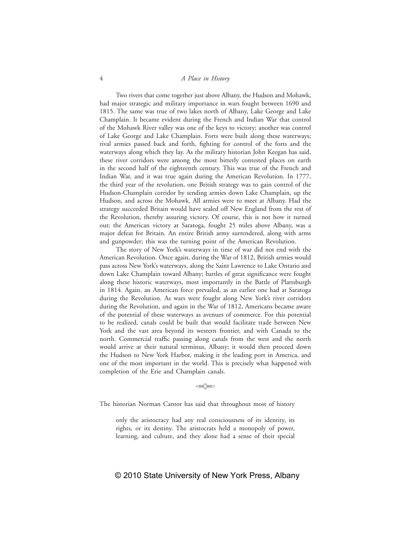#### 4 *A Place in History*

Two rivers that come together just above Albany, the Hudson and Mohawk, had major strategic and military importance in wars fought between 1690 and 1815. The same was true of two lakes north of Albany, Lake George and Lake Champlain. It became evident during the French and Indian War that control of the Mohawk River valley was one of the keys to victory; another was control of Lake George and Lake Champlain. Forts were built along these waterways; rival armies passed back and forth, fighting for control of the forts and the waterways along which they lay. As the military historian John Keegan has said, these river corridors were among the most bitterly contested places on earth in the second half of the eighteenth century. This was true of the French and Indian War, and it was true again during the American Revolution. In 1777, the third year of the revolution, one British strategy was to gain control of the Hudson-Champlain corridor by sending armies down Lake Champlain, up the Hudson, and across the Mohawk. All armies were to meet at Albany. Had the strategy succeeded Britain would have sealed off New England from the rest of the Revolution, thereby assuring victory. Of course, this is not how it turned out; the American victory at Saratoga, fought 25 miles above Albany, was a major defeat for Britain. An entire British army surrendered, along with arms and gunpowder; this was the turning point of the American Revolution.

The story of New York's waterways in time of war did not end with the American Revolution. Once again, during the War of 1812, British armies would pass across New York's waterways, along the Saint Lawrence to Lake Ontario and down Lake Champlain toward Albany; battles of great significance were fought along these historic waterways, most importantly in the Battle of Plattsburgh in 1814. Again, an American force prevailed, as an earlier one had at Saratoga during the Revolution. As wars were fought along New York's river corridors during the Revolution, and again in the War of 1812, Americans became aware of the potential of these waterways as avenues of commerce. For this potential to be realized, canals could be built that would facilitate trade between New York and the vast area beyond its western frontier, and with Canada to the north. Commercial traffic passing along canals from the west and the north would arrive at their natural terminus, Albany; it would then proceed down the Hudson to New York Harbor, making it the leading port in America, and one of the most important in the world. This is precisely what happened with completion of the Erie and Champlain canals.

 $\lll$ 

The historian Norman Cantor has said that throughout most of history

only the aristocracy had any real consciousness of its identity, its rights, or its destiny. The aristocrats held a monopoly of power, learning, and culture, and they alone had a sense of their special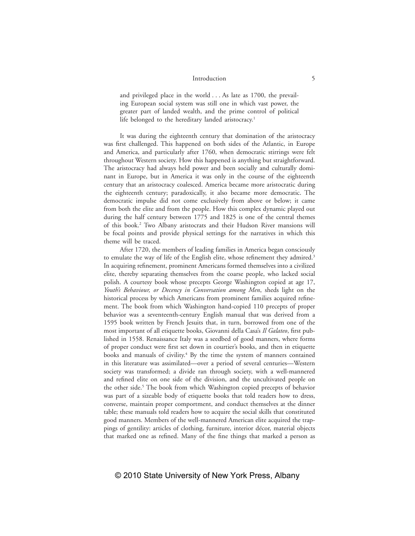## Introduction 5

and privileged place in the world . . . As late as 1700, the prevailing European social system was still one in which vast power, the greater part of landed wealth, and the prime control of political life belonged to the hereditary landed aristocracy.<sup>1</sup>

It was during the eighteenth century that domination of the aristocracy was first challenged. This happened on both sides of the Atlantic, in Europe and America, and particularly after 1760, when democratic stirrings were felt throughout Western society. How this happened is anything but straightforward. The aristocracy had always held power and been socially and culturally dominant in Europe, but in America it was only in the course of the eighteenth century that an aristocracy coalesced. America became more aristocratic during the eighteenth century; paradoxically, it also became more democratic. The democratic impulse did not come exclusively from above or below; it came from both the elite and from the people. How this complex dynamic played out during the half century between 1775 and 1825 is one of the central themes of this book.2 Two Albany aristocrats and their Hudson River mansions will be focal points and provide physical settings for the narratives in which this theme will be traced.

After 1720, the members of leading families in America began consciously to emulate the way of life of the English elite, whose refinement they admired.<sup>3</sup> In acquiring refinement, prominent Americans formed themselves into a civilized elite, thereby separating themselves from the coarse people, who lacked social polish. A courtesy book whose precepts George Washington copied at age 17, *Youth's Behaviour, or Decency in Conversation among Men*, sheds light on the historical process by which Americans from prominent families acquired refinement. The book from which Washington hand-copied 110 precepts of proper behavior was a seventeenth-century English manual that was derived from a 1595 book written by French Jesuits that, in turn, borrowed from one of the most important of all etiquette books, Giovanni della Casa's *Il Galateo*, first published in 1558. Renaissance Italy was a seedbed of good manners, where forms of proper conduct were first set down in courtier's books, and then in etiquette books and manuals of civility.<sup>4</sup> By the time the system of manners contained in this literature was assimilated—over a period of several centuries—Western society was transformed; a divide ran through society, with a well-mannered and refined elite on one side of the division, and the uncultivated people on the other side.<sup>5</sup> The book from which Washington copied precepts of behavior was part of a sizeable body of etiquette books that told readers how to dress, converse, maintain proper comportment, and conduct themselves at the dinner table; these manuals told readers how to acquire the social skills that constituted good manners. Members of the well-mannered American elite acquired the trappings of gentility: articles of clothing, furniture, interior décor, material objects that marked one as refined. Many of the fine things that marked a person as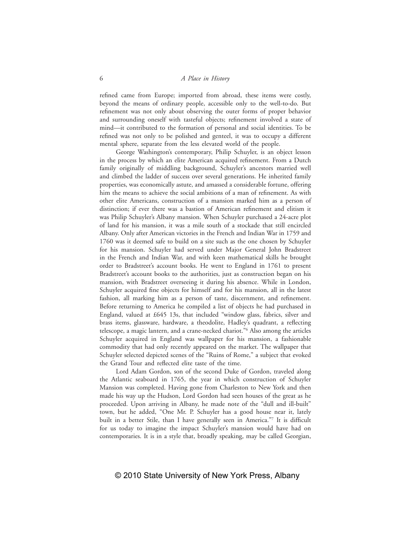#### 6 *A Place in History*

refined came from Europe; imported from abroad, these items were costly, beyond the means of ordinary people, accessible only to the well-to-do. But refinement was not only about observing the outer forms of proper behavior and surrounding oneself with tasteful objects; refinement involved a state of mind—it contributed to the formation of personal and social identities. To be refined was not only to be polished and genteel, it was to occupy a different mental sphere, separate from the less elevated world of the people.

George Washington's contemporary, Philip Schuyler, is an object lesson in the process by which an elite American acquired refinement. From a Dutch family originally of middling background, Schuyler's ancestors married well and climbed the ladder of success over several generations. He inherited family properties, was economically astute, and amassed a considerable fortune, offering him the means to achieve the social ambitions of a man of refinement. As with other elite Americans, construction of a mansion marked him as a person of distinction; if ever there was a bastion of American refinement and elitism it was Philip Schuyler's Albany mansion. When Schuyler purchased a 24-acre plot of land for his mansion, it was a mile south of a stockade that still encircled Albany. Only after American victories in the French and Indian War in 1759 and 1760 was it deemed safe to build on a site such as the one chosen by Schuyler for his mansion. Schuyler had served under Major General John Bradstreet in the French and Indian War, and with keen mathematical skills he brought order to Bradstreet's account books. He went to England in 1761 to present Bradstreet's account books to the authorities, just as construction began on his mansion, with Bradstreet overseeing it during his absence. While in London, Schuyler acquired fine objects for himself and for his mansion, all in the latest fashion, all marking him as a person of taste, discernment, and refinement. Before returning to America he compiled a list of objects he had purchased in England, valued at £645 13s, that included "window glass, fabrics, silver and brass items, glassware, hardware, a theodolite, Hadley's quadrant, a reflecting telescope, a magic lantern, and a crane-necked chariot."6 Also among the articles Schuyler acquired in England was wallpaper for his mansion, a fashionable commodity that had only recently appeared on the market. The wallpaper that Schuyler selected depicted scenes of the "Ruins of Rome," a subject that evoked the Grand Tour and reflected elite taste of the time.

Lord Adam Gordon, son of the second Duke of Gordon, traveled along the Atlantic seaboard in 1765, the year in which construction of Schuyler Mansion was completed. Having gone from Charleston to New York and then made his way up the Hudson, Lord Gordon had seen houses of the great as he proceeded. Upon arriving in Albany, he made note of the "dull and ill-built" town, but he added, "One Mr. P. Schuyler has a good house near it, lately built in a better Stile, than I have generally seen in America."7 It is difficult for us today to imagine the impact Schuyler's mansion would have had on contemporaries. It is in a style that, broadly speaking, may be called Georgian,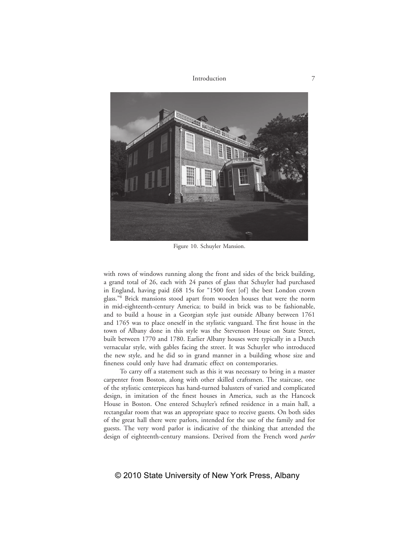

Figure 10. Schuyler Mansion.

with rows of windows running along the front and sides of the brick building, a grand total of 26, each with 24 panes of glass that Schuyler had purchased in England, having paid £68 15s for "1500 feet [of] the best London crown glass."8 Brick mansions stood apart from wooden houses that were the norm in mid-eighteenth-century America; to build in brick was to be fashionable, and to build a house in a Georgian style just outside Albany between 1761 and 1765 was to place oneself in the stylistic vanguard. The first house in the town of Albany done in this style was the Stevenson House on State Street, built between 1770 and 1780. Earlier Albany houses were typically in a Dutch vernacular style, with gables facing the street. It was Schuyler who introduced the new style, and he did so in grand manner in a building whose size and fineness could only have had dramatic effect on contemporaries.

To carry off a statement such as this it was necessary to bring in a master carpenter from Boston, along with other skilled craftsmen. The staircase, one of the stylistic centerpieces has hand-turned balusters of varied and complicated design, in imitation of the finest houses in America, such as the Hancock House in Boston. One entered Schuyler's refined residence in a main hall, a rectangular room that was an appropriate space to receive guests. On both sides of the great hall there were parlors, intended for the use of the family and for guests. The very word parlor is indicative of the thinking that attended the design of eighteenth-century mansions. Derived from the French word *parler*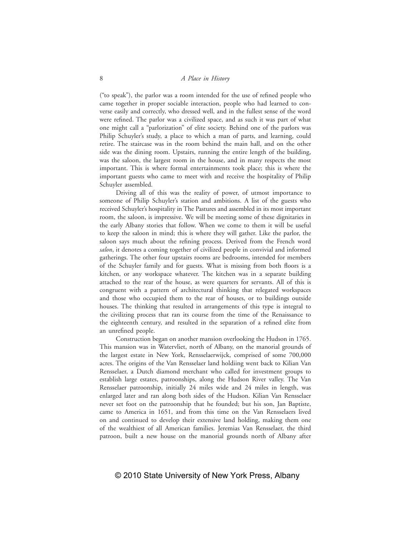("to speak"), the parlor was a room intended for the use of refined people who came together in proper sociable interaction, people who had learned to converse easily and correctly, who dressed well, and in the fullest sense of the word were refined. The parlor was a civilized space, and as such it was part of what one might call a "parlorization" of elite society. Behind one of the parlors was Philip Schuyler's study, a place to which a man of parts, and learning, could retire. The staircase was in the room behind the main hall, and on the other side was the dining room. Upstairs, running the entire length of the building, was the saloon, the largest room in the house, and in many respects the most important. This is where formal entertainments took place; this is where the important guests who came to meet with and receive the hospitality of Philip Schuyler assembled.

Driving all of this was the reality of power, of utmost importance to someone of Philip Schuyler's station and ambitions. A list of the guests who received Schuyler's hospitality in The Pastures and assembled in its most important room, the saloon, is impressive. We will be meeting some of these dignitaries in the early Albany stories that follow. When we come to them it will be useful to keep the saloon in mind; this is where they will gather. Like the parlor, the saloon says much about the refining process. Derived from the French word *salon*, it denotes a coming together of civilized people in convivial and informed gatherings. The other four upstairs rooms are bedrooms, intended for members of the Schuyler family and for guests. What is missing from both floors is a kitchen, or any workspace whatever. The kitchen was in a separate building attached to the rear of the house, as were quarters for servants. All of this is congruent with a pattern of architectural thinking that relegated workspaces and those who occupied them to the rear of houses, or to buildings outside houses. The thinking that resulted in arrangements of this type is integral to the civilizing process that ran its course from the time of the Renaissance to the eighteenth century, and resulted in the separation of a refined elite from an unrefined people.

Construction began on another mansion overlooking the Hudson in 1765. This mansion was in Watervliet, north of Albany, on the manorial grounds of the largest estate in New York, Rensselaerwijck, comprised of some 700,000 acres. The origins of the Van Rensselaer land holdiing went back to Kilian Van Rensselaer, a Dutch diamond merchant who called for investment groups to establish large estates, patroonships, along the Hudson River valley. The Van Rensselaer patroonship, initially 24 miles wide and 24 miles in length, was enlarged later and ran along both sides of the Hudson. Kilian Van Rensselaer never set foot on the patroonship that he founded; but his son, Jan Baptiste, came to America in 1651, and from this time on the Van Rensselaers lived on and continued to develop their extensive land holding, making them one of the wealthiest of all American families. Jeremias Van Rensselaer, the third patroon, built a new house on the manorial grounds north of Albany after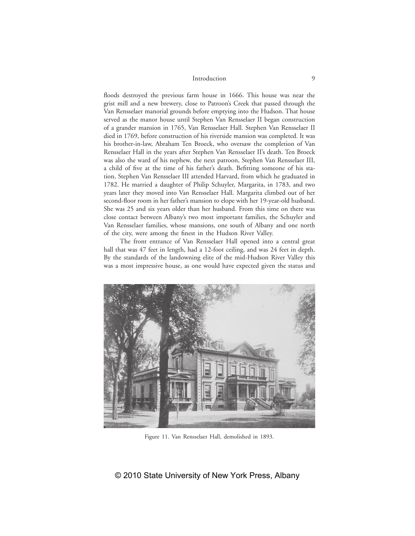### Introduction 9

floods destroyed the previous farm house in 1666. This house was near the grist mill and a new brewery, close to Patroon's Creek that passed through the Van Rensselaer manorial grounds before emptying into the Hudson. That house served as the manor house until Stephen Van Rensselaer II began construction of a grander mansion in 1765, Van Rensselaer Hall. Stephen Van Rensselaer II died in 1769, before construction of his riverside mansion was completed. It was his brother-in-law, Abraham Ten Broeck, who oversaw the completion of Van Rensselaer Hall in the years after Stephen Van Rensselaer II's death. Ten Broeck was also the ward of his nephew, the next patroon, Stephen Van Rensselaer III, a child of five at the time of his father's death. Befitting someone of his station, Stephen Van Rensselaer III attended Harvard, from which he graduated in 1782. He married a daughter of Philip Schuyler, Margarita, in 1783, and two years later they moved into Van Rensselaer Hall. Margarita climbed out of her second-floor room in her father's mansion to elope with her 19-year-old husband. She was 25 and six years older than her husband. From this time on there was close contact between Albany's two most important families, the Schuyler and Van Rensselaer families, whose mansions, one south of Albany and one north of the city, were among the finest in the Hudson River Valley.

The front entrance of Van Rensselaer Hall opened into a central great hall that was 47 feet in length, had a 12-foot ceiling, and was 24 feet in depth. By the standards of the landowning elite of the mid-Hudson River Valley this was a most impressive house, as one would have expected given the status and



Figure 11. Van Rensselaer Hall, demolished in 1893.

## © 2010 State University of New York Press, Albany